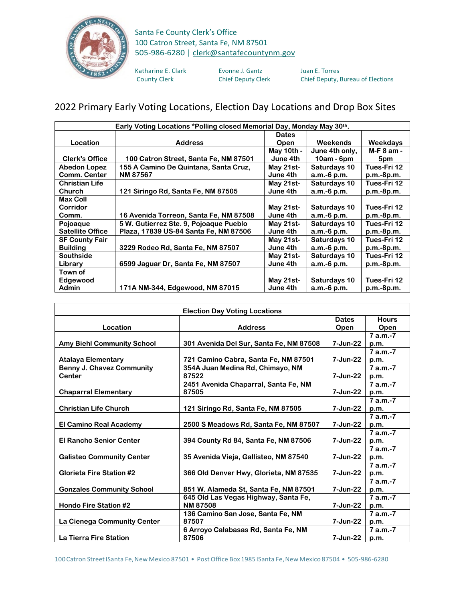

## Santa Fe County Clerk's Office 100 Catron Street, Santa Fe, NM 87501 505-986-6280 | [clerk@santafecountynm.gov](mailto:clerk@santafecountynm.gov)

Katharine E. Clark Evonne J. Gantz Juan E. Torres<br>County Clerk County Clerk Chief Deputy Clerk Chief Deputy, I

Chief Deputy, Bureau of Elections

## 2022 Primary Early Voting Locations, Election Day Locations and Drop Box Sites

| Early Voting Locations *Polling closed Memorial Day, Monday May 30th. |                                        |              |                |              |  |
|-----------------------------------------------------------------------|----------------------------------------|--------------|----------------|--------------|--|
|                                                                       |                                        | <b>Dates</b> |                |              |  |
| Location                                                              | <b>Address</b>                         | Open         | Weekends       | Weekdays     |  |
|                                                                       |                                        | May 10th -   | June 4th only, | M-F 8 am -   |  |
| <b>Clerk's Office</b>                                                 | 100 Catron Street, Santa Fe, NM 87501  | June 4th     | $10am - 6pm$   | 5pm          |  |
| <b>Abedon Lopez</b>                                                   | 155 A Camino De Quintana, Santa Cruz,  | May 21st-    | Saturdays 10   | Tues-Fri 12  |  |
| <b>Comm. Center</b>                                                   | <b>NM 87567</b>                        | June 4th     | $a.m.-6 p.m.$  | $p.m.-8p.m.$ |  |
| <b>Christian Life</b>                                                 |                                        | May 21st-    | Saturdays 10   | Tues-Fri 12  |  |
| Church                                                                | 121 Siringo Rd, Santa Fe, NM 87505     | June 4th     | $a.m.-6 p.m.$  | $p.m.-8p.m.$ |  |
| <b>Max Coll</b>                                                       |                                        |              |                |              |  |
| Corridor                                                              |                                        | May 21st-    | Saturdays 10   | Tues-Fri 12  |  |
| Comm.                                                                 | 16 Avenida Torreon, Santa Fe, NM 87508 | June 4th     | $a.m.-6 p.m.$  | $p.m.-8p.m.$ |  |
| Pojoaque                                                              | 5 W. Gutierrez Ste. 9, Pojoaque Pueblo | May 21st-    | Saturdays 10   | Tues-Fri 12  |  |
| <b>Satellite Office</b>                                               | Plaza, 17839 US-84 Santa Fe, NM 87506  | June 4th     | $a.m.-6 p.m.$  | $p.m.-8p.m.$ |  |
| <b>SF County Fair</b>                                                 |                                        | May 21st-    | Saturdays 10   | Tues-Fri 12  |  |
| <b>Building</b>                                                       | 3229 Rodeo Rd, Santa Fe, NM 87507      | June 4th     | $a.m.-6 p.m.$  | $p.m.-8p.m.$ |  |
| <b>Southside</b>                                                      |                                        | May 21st-    | Saturdays 10   | Tues-Fri 12  |  |
| Library                                                               | 6599 Jaguar Dr, Santa Fe, NM 87507     | June 4th     | $a.m.-6 p.m.$  | $p.m.-8p.m.$ |  |
| Town of                                                               |                                        |              |                |              |  |
| Edgewood                                                              |                                        | May $21st$ - | Saturdays 10   | Tues-Fri 12  |  |
| <b>Admin</b>                                                          | 171A NM-344, Edgewood, NM 87015        | June 4th     | $a.m.-6 p.m.$  | $p.m.-8p.m.$ |  |

| <b>Election Day Voting Locations</b> |                                         |              |              |  |
|--------------------------------------|-----------------------------------------|--------------|--------------|--|
|                                      |                                         | <b>Dates</b> | <b>Hours</b> |  |
| Location                             | <b>Address</b>                          | Open         | Open         |  |
|                                      |                                         |              | 7 a.m.-7     |  |
| <b>Amy Biehl Community School</b>    | 301 Avenida Del Sur, Santa Fe, NM 87508 | 7-Jun-22     | p.m.         |  |
|                                      |                                         |              | $7a.m.-7$    |  |
| <b>Atalaya Elementary</b>            | 721 Camino Cabra, Santa Fe, NM 87501    | 7-Jun-22     | p.m.         |  |
| <b>Benny J. Chavez Community</b>     | 354A Juan Medina Rd, Chimayo, NM        |              | $7 a.m.-7$   |  |
| <b>Center</b>                        | 87522                                   | 7-Jun-22     | p.m.         |  |
|                                      | 2451 Avenida Chaparral, Santa Fe, NM    |              | $7 a.m.-7$   |  |
| <b>Chaparral Elementary</b>          | 87505                                   | 7-Jun-22     | p.m.         |  |
|                                      |                                         |              | $7a.m.-7$    |  |
| <b>Christian Life Church</b>         | 121 Siringo Rd, Santa Fe, NM 87505      | 7-Jun-22     | p.m.         |  |
|                                      |                                         |              | $7 a.m.-7$   |  |
| <b>El Camino Real Academy</b>        | 2500 S Meadows Rd, Santa Fe, NM 87507   | 7-Jun-22     | p.m.         |  |
|                                      |                                         |              | $7 a.m.-7$   |  |
| <b>El Rancho Senior Center</b>       | 394 County Rd 84, Santa Fe, NM 87506    | 7-Jun-22     | p.m.         |  |
|                                      |                                         |              | $7a.m.-7$    |  |
| <b>Galisteo Community Center</b>     | 35 Avenida Vieja, Gallisteo, NM 87540   | 7-Jun-22     | p.m.         |  |
|                                      |                                         |              | $7 a.m.-7$   |  |
| <b>Glorieta Fire Station #2</b>      | 366 Old Denver Hwy, Glorieta, NM 87535  | 7-Jun-22     | p.m.         |  |
|                                      |                                         |              | $7 a.m.-7$   |  |
| <b>Gonzales Community School</b>     | 851 W. Alameda St, Santa Fe, NM 87501   | 7-Jun-22     | p.m.         |  |
|                                      | 645 Old Las Vegas Highway, Santa Fe,    |              | $7 a.m.-7$   |  |
| <b>Hondo Fire Station #2</b>         | <b>NM87508</b>                          | 7-Jun-22     | p.m.         |  |
|                                      | 136 Camino San Jose, Santa Fe, NM       |              | $7 a.m.-7$   |  |
| La Cienega Community Center          | 87507                                   | 7-Jun-22     | p.m.         |  |
|                                      | 6 Arroyo Calabasas Rd, Santa Fe, NM     |              | $7 a.m.-7$   |  |
| La Tierra Fire Station               | 87506                                   | 7-Jun-22     | p.m.         |  |